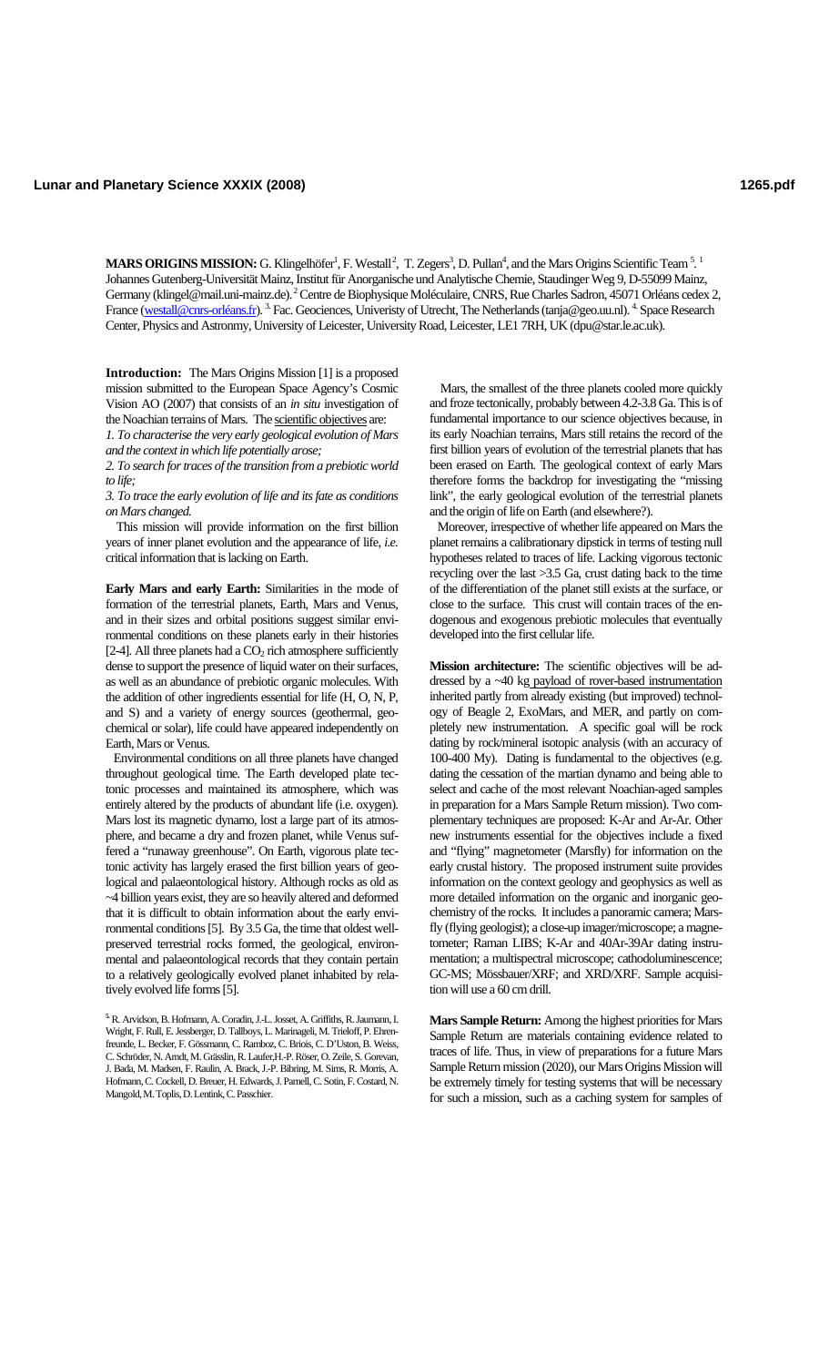MARS ORIGINS MISSION: G. Klingelhöfer<sup>1</sup>, F. Westall<sup>2</sup>, T. Zegers<sup>3</sup>, D. Pullan<sup>4</sup>, and the Mars Origins Scientific Team <sup>5</sup>. Johannes Gutenberg-Universität Mainz, Institut für Anorganische und Analytische Chemie, Staudinger Weg 9, D-55099 Mainz, Germany (klingel@mail.uni-mainz.de).<sup>2</sup> Centre de Biophysique Moléculaire, CNRS, Rue Charles Sadron, 45071 Orléans cedex 2, France (westall@cnrs-orléans.fr). <sup>3</sup>. Fac. Geociences, Univeristy of Utrecht, The Netherlands (tanja@geo.uu.nl). <sup>4</sup>. Space Research Center, Physics and Astronmy, University of Leicester, University Road, Leicester, LE1 7RH, UK (dpu@star.le.ac.uk).

**Introduction:** The Mars Origins Mission [1] is a proposed mission submitted to the European Space Agency's Cosmic Vision AO (2007) that consists of an *in situ* investigation of the Noachian terrains of Mars. The scientific objectives are:

*1. To characterise the very early geological evolution of Mars and the context in which life potentially arose;* 

*2. To search for traces of the transition from a prebiotic world to life;* 

*3. To trace the early evolution of life and its fate as conditions on Mars changed.* 

 This mission will provide information on the first billion years of inner planet evolution and the appearance of life, *i.e.*  critical information that is lacking on Earth.

**Early Mars and early Earth:** Similarities in the mode of formation of the terrestrial planets, Earth, Mars and Venus, and in their sizes and orbital positions suggest similar environmental conditions on these planets early in their histories [2-4]. All three planets had a  $CO<sub>2</sub>$  rich atmosphere sufficiently dense to support the presence of liquid water on their surfaces, as well as an abundance of prebiotic organic molecules. With the addition of other ingredients essential for life (H, O, N, P, and S) and a variety of energy sources (geothermal, geochemical or solar), life could have appeared independently on Earth, Mars or Venus.

 Environmental conditions on all three planets have changed throughout geological time. The Earth developed plate tectonic processes and maintained its atmosphere, which was entirely altered by the products of abundant life (i.e. oxygen). Mars lost its magnetic dynamo, lost a large part of its atmosphere, and became a dry and frozen planet, while Venus suffered a "runaway greenhouse". On Earth, vigorous plate tectonic activity has largely erased the first billion years of geological and palaeontological history. Although rocks as old as ~4 billion years exist, they are so heavily altered and deformed that it is difficult to obtain information about the early environmental conditions [5]. By 3.5 Ga, the time that oldest wellpreserved terrestrial rocks formed, the geological, environmental and palaeontological records that they contain pertain to a relatively geologically evolved planet inhabited by relatively evolved life forms [5].

**5.** R. Arvidson, B. Hofmann, A. Coradin, J.-L. Josset, A. Griffiths, R. Jaumann, I. Wright, F. Rull, E. Jessberger, D. Tallboys, L. Marinageli, M. Trieloff, P. Ehrenfreunde, L. Becker, F. Gössmann, C. Ramboz, C. Briois, C. D'Uston, B. Weiss, C. Schröder, N. Arndt, M. Grässlin, R. Laufer,H.-P. Röser, O. Zeile, S. Gorevan, J. Bada, M. Madsen, F. Raulin, A. Brack, J.-P. Bibring, M. Sims, R. Morris, A. Hofmann, C. Cockell, D. Breuer, H. Edwards, J. Parnell, C. Sotin, F. Costard, N. Mangold, M. Toplis, D. Lentink, C. Passchier.

 Mars, the smallest of the three planets cooled more quickly and froze tectonically, probably between 4.2-3.8 Ga. This is of fundamental importance to our science objectives because, in its early Noachian terrains, Mars still retains the record of the first billion years of evolution of the terrestrial planets that has been erased on Earth. The geological context of early Mars therefore forms the backdrop for investigating the "missing link", the early geological evolution of the terrestrial planets and the origin of life on Earth (and elsewhere?).

 Moreover, irrespective of whether life appeared on Mars the planet remains a calibrationary dipstick in terms of testing null hypotheses related to traces of life. Lacking vigorous tectonic recycling over the last >3.5 Ga, crust dating back to the time of the differentiation of the planet still exists at the surface, or close to the surface. This crust will contain traces of the endogenous and exogenous prebiotic molecules that eventually developed into the first cellular life.

**Mission architecture:** The scientific objectives will be addressed by a ~40 kg payload of rover-based instrumentation inherited partly from already existing (but improved) technology of Beagle 2, ExoMars, and MER, and partly on completely new instrumentation. A specific goal will be rock dating by rock/mineral isotopic analysis (with an accuracy of 100-400 My). Dating is fundamental to the objectives (e.g. dating the cessation of the martian dynamo and being able to select and cache of the most relevant Noachian-aged samples in preparation for a Mars Sample Return mission). Two complementary techniques are proposed: K-Ar and Ar-Ar. Other new instruments essential for the objectives include a fixed and "flying" magnetometer (Marsfly) for information on the early crustal history. The proposed instrument suite provides information on the context geology and geophysics as well as more detailed information on the organic and inorganic geochemistry of the rocks. It includes a panoramic camera; Marsfly (flying geologist); a close-up imager/microscope; a magnetometer; Raman LIBS; K-Ar and 40Ar-39Ar dating instrumentation; a multispectral microscope; cathodoluminescence; GC-MS; Mössbauer/XRF; and XRD/XRF. Sample acquisition will use a 60 cm drill.

**Mars Sample Return:** Among the highest priorities for Mars Sample Return are materials containing evidence related to traces of life. Thus, in view of preparations for a future Mars Sample Return mission (2020), our Mars Origins Mission will be extremely timely for testing systems that will be necessary for such a mission, such as a caching system for samples of